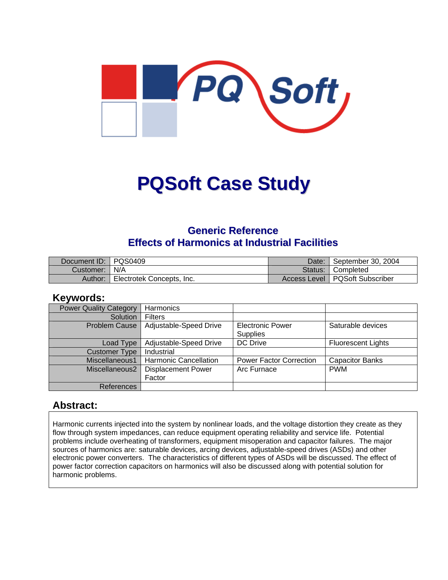

# **PQSoft Case Study**

### **Generic Reference Effects of Harmonics at Industrial Facilities**

| Document ID: PQS0409 |                           | Date:   | September 30, 2004               |
|----------------------|---------------------------|---------|----------------------------------|
| Customer: 1          | N/A                       | Status: | <sup>1</sup> Completed           |
| Author:              | Electrotek Concepts, Inc. |         | Access Level   PQSoft Subscriber |

### **Keywords:**

| <b>Power Quality Category</b> | Harmonics                    |                                |                           |
|-------------------------------|------------------------------|--------------------------------|---------------------------|
| Solution                      | <b>Filters</b>               |                                |                           |
| Problem Cause                 | Adjustable-Speed Drive       | <b>Electronic Power</b>        | Saturable devices         |
|                               |                              | <b>Supplies</b>                |                           |
| Load Type                     | Adjustable-Speed Drive       | <b>DC</b> Drive                | <b>Fluorescent Lights</b> |
| <b>Customer Type</b>          | Industrial                   |                                |                           |
| Miscellaneous1                | <b>Harmonic Cancellation</b> | <b>Power Factor Correction</b> | <b>Capacitor Banks</b>    |
| Miscellaneous2                | <b>Displacement Power</b>    | Arc Furnace                    | <b>PWM</b>                |
|                               | Factor                       |                                |                           |
| References                    |                              |                                |                           |

### **Abstract:**

Harmonic currents injected into the system by nonlinear loads, and the voltage distortion they create as they flow through system impedances, can reduce equipment operating reliability and service life. Potential problems include overheating of transformers, equipment misoperation and capacitor failures. The major sources of harmonics are: saturable devices, arcing devices, adjustable-speed drives (ASDs) and other electronic power converters. The characteristics of different types of ASDs will be discussed. The effect of power factor correction capacitors on harmonics will also be discussed along with potential solution for harmonic problems.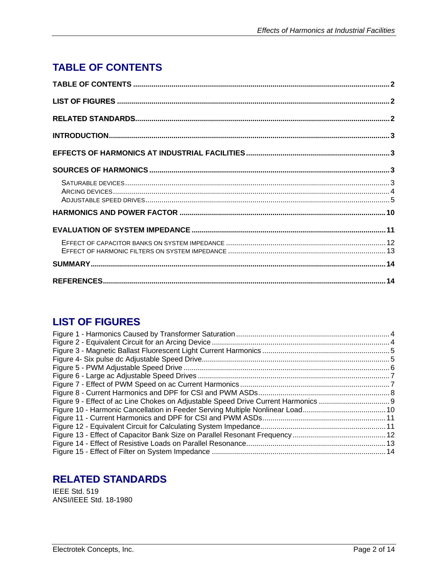# <span id="page-1-0"></span>**TABLE OF CONTENTS**

# **LIST OF FIGURES**

| Figure 10 - Harmonic Cancellation in Feeder Serving Multiple Nonlinear Load10 |  |
|-------------------------------------------------------------------------------|--|
|                                                                               |  |
|                                                                               |  |
|                                                                               |  |
|                                                                               |  |
|                                                                               |  |
|                                                                               |  |

# **RELATED STANDARDS**

IEEE Std. 519 ANSI/IEEE Std. 18-1980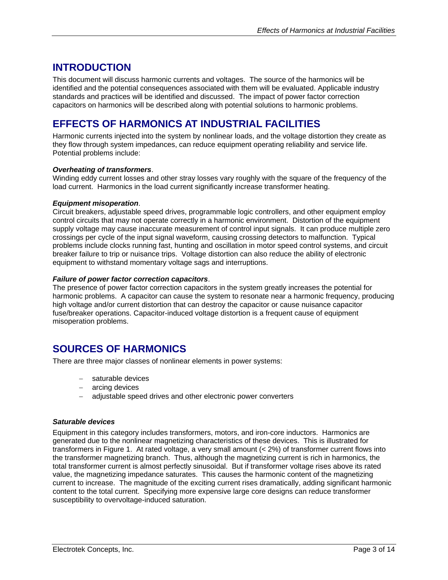### <span id="page-2-0"></span>**INTRODUCTION**

This document will discuss harmonic currents and voltages. The source of the harmonics will be identified and the potential consequences associated with them will be evaluated. Applicable industry standards and practices will be identified and discussed. The impact of power factor correction capacitors on harmonics will be described along with potential solutions to harmonic problems.

# **EFFECTS OF HARMONICS AT INDUSTRIAL FACILITIES**

Harmonic currents injected into the system by nonlinear loads, and the voltage distortion they create as they flow through system impedances, can reduce equipment operating reliability and service life. Potential problems include:

#### *Overheating of transformers*.

Winding eddy current losses and other stray losses vary roughly with the square of the frequency of the load current. Harmonics in the load current significantly increase transformer heating.

#### *Equipment misoperation*.

Circuit breakers, adjustable speed drives, programmable logic controllers, and other equipment employ control circuits that may not operate correctly in a harmonic environment. Distortion of the equipment supply voltage may cause inaccurate measurement of control input signals. It can produce multiple zero crossings per cycle of the input signal waveform, causing crossing detectors to malfunction. Typical problems include clocks running fast, hunting and oscillation in motor speed control systems, and circuit breaker failure to trip or nuisance trips. Voltage distortion can also reduce the ability of electronic equipment to withstand momentary voltage sags and interruptions.

#### *Failure of power factor correction capacitors*.

The presence of power factor correction capacitors in the system greatly increases the potential for harmonic problems. A capacitor can cause the system to resonate near a harmonic frequency, producing high voltage and/or current distortion that can destroy the capacitor or cause nuisance capacitor fuse/breaker operations. Capacitor-induced voltage distortion is a frequent cause of equipment misoperation problems.

## **SOURCES OF HARMONICS**

There are three major classes of nonlinear elements in power systems:

- − saturable devices
- − arcing devices
- − adjustable speed drives and other electronic power converters

#### *Saturable devices*

Equipment in this category includes transformers, motors, and iron-core inductors. Harmonics are generated due to the nonlinear magnetizing characteristics of these devices. This is illustrated for transformers in Figure 1. At rated voltage, a very small amount (< 2%) of transformer current flows into the transformer magnetizing branch. Thus, although the magnetizing current is rich in harmonics, the total transformer current is almost perfectly sinusoidal. But if transformer voltage rises above its rated value, the magnetizing impedance saturates. This causes the harmonic content of the magnetizing current to increase. The magnitude of the exciting current rises dramatically, adding significant harmonic content to the total current. Specifying more expensive large core designs can reduce transformer susceptibility to overvoltage-induced saturation.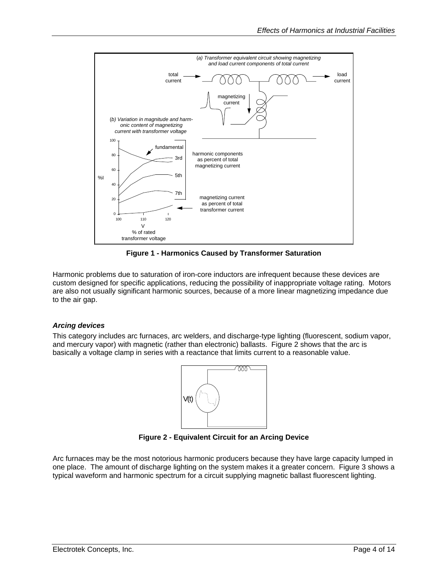<span id="page-3-0"></span>

**Figure 1 - Harmonics Caused by Transformer Saturation** 

Harmonic problems due to saturation of iron-core inductors are infrequent because these devices are custom designed for specific applications, reducing the possibility of inappropriate voltage rating. Motors are also not usually significant harmonic sources, because of a more linear magnetizing impedance due to the air gap.

#### *Arcing devices*

This category includes arc furnaces, arc welders, and discharge-type lighting (fluorescent, sodium vapor, and mercury vapor) with magnetic (rather than electronic) ballasts. Figure 2 shows that the arc is basically a voltage clamp in series with a reactance that limits current to a reasonable value.



**Figure 2 - Equivalent Circuit for an Arcing Device** 

Arc furnaces may be the most notorious harmonic producers because they have large capacity lumped in one place. The amount of discharge lighting on the system makes it a greater concern. Figure 3 shows a typical waveform and harmonic spectrum for a circuit supplying magnetic ballast fluorescent lighting.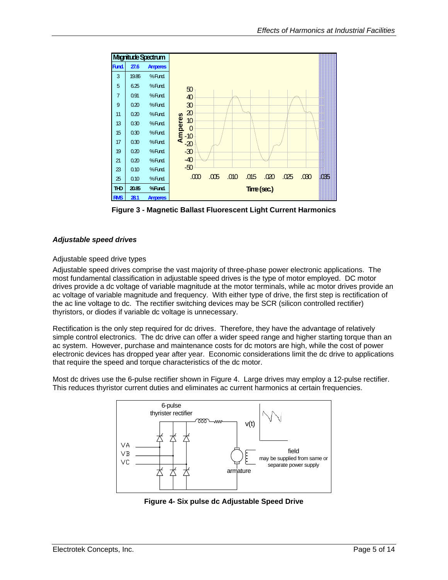<span id="page-4-0"></span>

**Figure 3 - Magnetic Ballast Fluorescent Light Current Harmonics** 

#### *Adjustable speed drives*

#### Adjustable speed drive types

Adjustable speed drives comprise the vast majority of three-phase power electronic applications. The most fundamental classification in adjustable speed drives is the type of motor employed. DC motor drives provide a dc voltage of variable magnitude at the motor terminals, while ac motor drives provide an ac voltage of variable magnitude and frequency. With either type of drive, the first step is rectification of the ac line voltage to dc. The rectifier switching devices may be SCR (silicon controlled rectifier) thyristors, or diodes if variable dc voltage is unnecessary.

Rectification is the only step required for dc drives. Therefore, they have the advantage of relatively simple control electronics. The dc drive can offer a wider speed range and higher starting torque than an ac system. However, purchase and maintenance costs for dc motors are high, while the cost of power electronic devices has dropped year after year. Economic considerations limit the dc drive to applications that require the speed and torque characteristics of the dc motor.

Most dc drives use the 6-pulse rectifier shown in Figure 4. Large drives may employ a 12-pulse rectifier. This reduces thyristor current duties and eliminates ac current harmonics at certain frequencies.



**Figure 4- Six pulse dc Adjustable Speed Drive**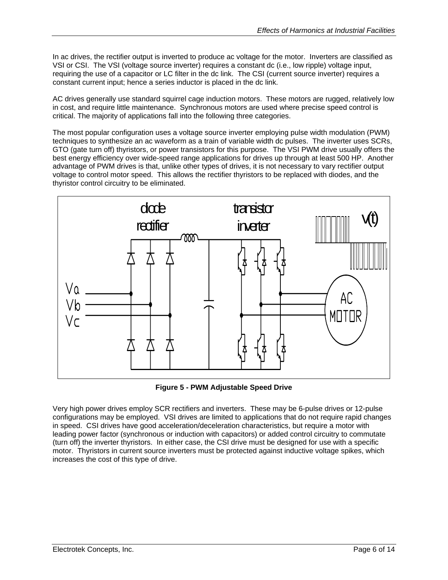<span id="page-5-0"></span>In ac drives, the rectifier output is inverted to produce ac voltage for the motor. Inverters are classified as VSI or CSI. The VSI (voltage source inverter) requires a constant dc (i.e., low ripple) voltage input, requiring the use of a capacitor or LC filter in the dc link. The CSI (current source inverter) requires a constant current input; hence a series inductor is placed in the dc link.

AC drives generally use standard squirrel cage induction motors. These motors are rugged, relatively low in cost, and require little maintenance. Synchronous motors are used where precise speed control is critical. The majority of applications fall into the following three categories.

The most popular configuration uses a voltage source inverter employing pulse width modulation (PWM) techniques to synthesize an ac waveform as a train of variable width dc pulses. The inverter uses SCRs, GTO (gate turn off) thyristors, or power transistors for this purpose. The VSI PWM drive usually offers the best energy efficiency over wide-speed range applications for drives up through at least 500 HP. Another advantage of PWM drives is that, unlike other types of drives, it is not necessary to vary rectifier output voltage to control motor speed. This allows the rectifier thyristors to be replaced with diodes, and the thyristor control circuitry to be eliminated.



**Figure 5 - PWM Adjustable Speed Drive** 

Very high power drives employ SCR rectifiers and inverters. These may be 6-pulse drives or 12-pulse configurations may be employed. VSI drives are limited to applications that do not require rapid changes in speed. CSI drives have good acceleration/deceleration characteristics, but require a motor with leading power factor (synchronous or induction with capacitors) or added control circuitry to commutate (turn off) the inverter thyristors. In either case, the CSI drive must be designed for use with a specific motor. Thyristors in current source inverters must be protected against inductive voltage spikes, which increases the cost of this type of drive.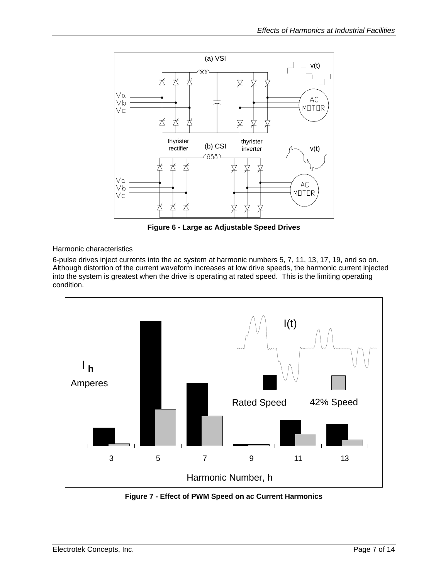<span id="page-6-0"></span>

**Figure 6 - Large ac Adjustable Speed Drives** 

Harmonic characteristics

6-pulse drives inject currents into the ac system at harmonic numbers 5, 7, 11, 13, 17, 19, and so on. Although distortion of the current waveform increases at low drive speeds, the harmonic current injected into the system is greatest when the drive is operating at rated speed. This is the limiting operating condition.



**Figure 7 - Effect of PWM Speed on ac Current Harmonics**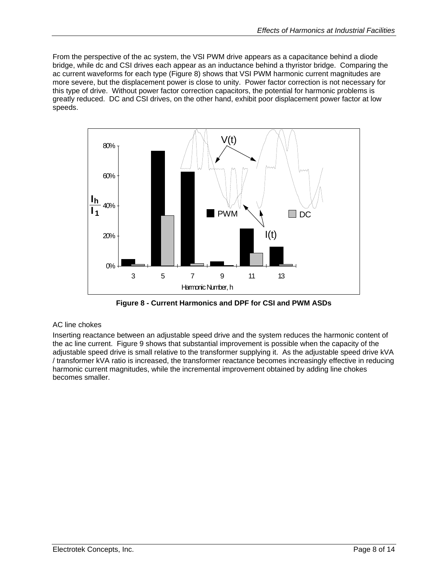<span id="page-7-0"></span>From the perspective of the ac system, the VSI PWM drive appears as a capacitance behind a diode bridge, while dc and CSI drives each appear as an inductance behind a thyristor bridge. Comparing the ac current waveforms for each type (Figure 8) shows that VSI PWM harmonic current magnitudes are more severe, but the displacement power is close to unity. Power factor correction is not necessary for this type of drive. Without power factor correction capacitors, the potential for harmonic problems is greatly reduced. DC and CSI drives, on the other hand, exhibit poor displacement power factor at low speeds.



**Figure 8 - Current Harmonics and DPF for CSI and PWM ASDs** 

#### AC line chokes

Inserting reactance between an adjustable speed drive and the system reduces the harmonic content of the ac line current. Figure 9 shows that substantial improvement is possible when the capacity of the adjustable speed drive is small relative to the transformer supplying it. As the adjustable speed drive kVA / transformer kVA ratio is increased, the transformer reactance becomes increasingly effective in reducing harmonic current magnitudes, while the incremental improvement obtained by adding line chokes becomes smaller.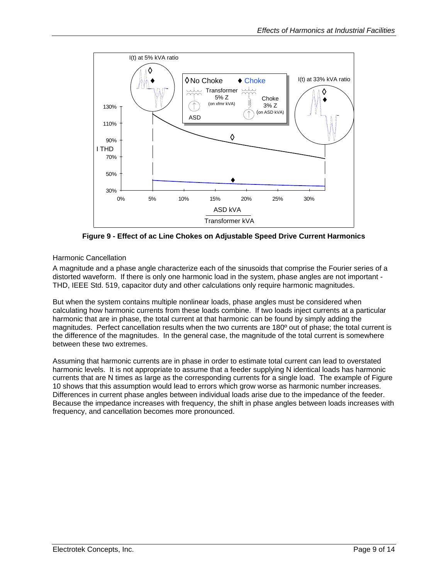<span id="page-8-0"></span>

**Figure 9 - Effect of ac Line Chokes on Adjustable Speed Drive Current Harmonics** 

#### Harmonic Cancellation

A magnitude and a phase angle characterize each of the sinusoids that comprise the Fourier series of a distorted waveform. If there is only one harmonic load in the system, phase angles are not important - THD, IEEE Std. 519, capacitor duty and other calculations only require harmonic magnitudes.

But when the system contains multiple nonlinear loads, phase angles must be considered when calculating how harmonic currents from these loads combine. If two loads inject currents at a particular harmonic that are in phase, the total current at that harmonic can be found by simply adding the magnitudes. Perfect cancellation results when the two currents are 180º out of phase; the total current is the difference of the magnitudes. In the general case, the magnitude of the total current is somewhere between these two extremes.

Assuming that harmonic currents are in phase in order to estimate total current can lead to overstated harmonic levels. It is not appropriate to assume that a feeder supplying N identical loads has harmonic currents that are N times as large as the corresponding currents for a single load. The example of Figure 10 shows that this assumption would lead to errors which grow worse as harmonic number increases. Differences in current phase angles between individual loads arise due to the impedance of the feeder. Because the impedance increases with frequency, the shift in phase angles between loads increases with frequency, and cancellation becomes more pronounced.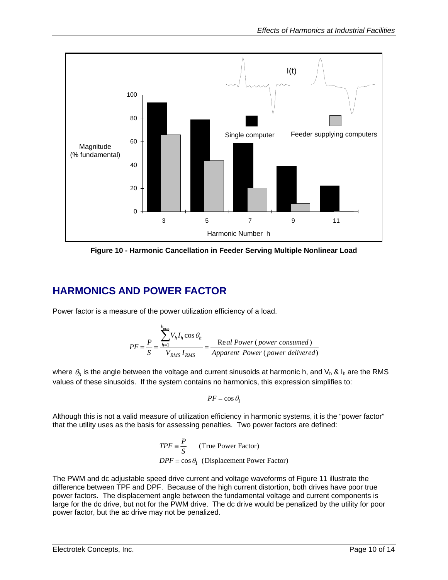<span id="page-9-0"></span>

**Figure 10 - Harmonic Cancellation in Feeder Serving Multiple Nonlinear Load** 

## **HARMONICS AND POWER FACTOR**

Power factor is a measure of the power utilization efficiency of a load.

$$
PF = \frac{P}{S} = \frac{\sum_{h=1}^{h_{\text{max}}} V_h I_h \cos \theta_h}{V_{RMS} I_{RMS}} = \frac{\text{Real Power (power consumed)}}{\text{Apparent Power (power delivered)}}
$$

where  $\theta_h$  is the angle between the voltage and current sinusoids at harmonic h, and  $V_h$  &  $I_h$  are the RMS values of these sinusoids. If the system contains no harmonics, this expression simplifies to:

$$
PF = \cos \theta_1
$$

Although this is not a valid measure of utilization efficiency in harmonic systems, it is the "power factor" that the utility uses as the basis for assessing penalties. Two power factors are defined:

$$
TPF \equiv \frac{P}{S}
$$
 (True Power Factor)  
 
$$
DPF \equiv \cos \theta_1
$$
 (Displacement Power Factor)

The PWM and dc adjustable speed drive current and voltage waveforms of Figure 11 illustrate the difference between TPF and DPF. Because of the high current distortion, both drives have poor true power factors. The displacement angle between the fundamental voltage and current components is large for the dc drive, but not for the PWM drive. The dc drive would be penalized by the utility for poor power factor, but the ac drive may not be penalized.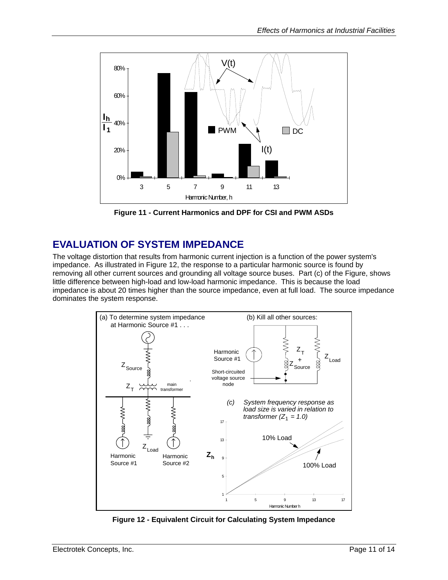<span id="page-10-0"></span>

**Figure 11 - Current Harmonics and DPF for CSI and PWM ASDs** 

### **EVALUATION OF SYSTEM IMPEDANCE**

The voltage distortion that results from harmonic current injection is a function of the power system's impedance. As illustrated in Figure 12, the response to a particular harmonic source is found by removing all other current sources and grounding all voltage source buses. Part (c) of the Figure, shows little difference between high-load and low-load harmonic impedance. This is because the load impedance is about 20 times higher than the source impedance, even at full load. The source impedance dominates the system response.



**Figure 12 - Equivalent Circuit for Calculating System Impedance**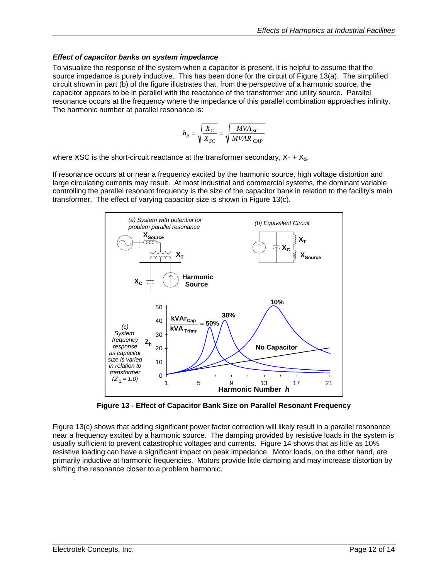#### <span id="page-11-0"></span>*Effect of capacitor banks on system impedance*

To visualize the response of the system when a capacitor is present, it is helpful to assume that the source impedance is purely inductive. This has been done for the circuit of Figure 13(a). The simplified circuit shown in part (b) of the figure illustrates that, from the perspective of a harmonic source, the capacitor appears to be in parallel with the reactance of the transformer and utility source. Parallel resonance occurs at the frequency where the impedance of this parallel combination approaches infinity. The harmonic number at parallel resonance is:

$$
h_p = \sqrt{\frac{X_C}{X_{SC}}} = \sqrt{\frac{MVA_{SC}}{MVAR_{CAP}}}
$$

where XSC is the short-circuit reactance at the transformer secondary,  $X_T + X_{S}$ .

If resonance occurs at or near a frequency excited by the harmonic source, high voltage distortion and large circulating currents may result. At most industrial and commercial systems, the dominant variable controlling the parallel resonant frequency is the size of the capacitor bank in relation to the facility's main transformer. The effect of varying capacitor size is shown in Figure 13(c).



**Figure 13 - Effect of Capacitor Bank Size on Parallel Resonant Frequency**

Figure 13(c) shows that adding significant power factor correction will likely result in a parallel resonance near a frequency excited by a harmonic source. The damping provided by resistive loads in the system is usually sufficient to prevent catastrophic voltages and currents. Figure 14 shows that as little as 10% resistive loading can have a significant impact on peak impedance. Motor loads, on the other hand, are primarily inductive at harmonic frequencies. Motors provide little damping and may increase distortion by shifting the resonance closer to a problem harmonic.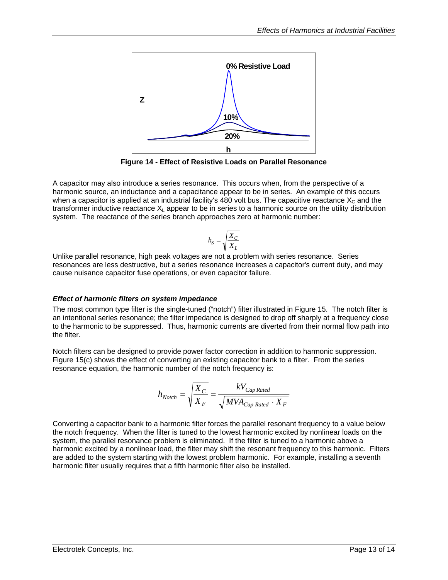<span id="page-12-0"></span>

**Figure 14 - Effect of Resistive Loads on Parallel Resonance** 

A capacitor may also introduce a series resonance. This occurs when, from the perspective of a harmonic source, an inductance and a capacitance appear to be in series. An example of this occurs when a capacitor is applied at an industrial facility's 480 volt bus. The capacitive reactance  $X_c$  and the transformer inductive reactance  $X<sub>L</sub>$  appear to be in series to a harmonic source on the utility distribution system. The reactance of the series branch approaches zero at harmonic number:

$$
h_S = \sqrt{\frac{X_C}{X_L}}
$$

Unlike parallel resonance, high peak voltages are not a problem with series resonance. Series resonances are less destructive, but a series resonance increases a capacitor's current duty, and may cause nuisance capacitor fuse operations, or even capacitor failure.

#### *Effect of harmonic filters on system impedance*

The most common type filter is the single-tuned ("notch") filter illustrated in Figure 15. The notch filter is an intentional series resonance; the filter impedance is designed to drop off sharply at a frequency close to the harmonic to be suppressed. Thus, harmonic currents are diverted from their normal flow path into the filter.

Notch filters can be designed to provide power factor correction in addition to harmonic suppression. Figure 15(c) shows the effect of converting an existing capacitor bank to a filter. From the series resonance equation, the harmonic number of the notch frequency is:

$$
h_{\text{Notch}} = \sqrt{\frac{X_C}{X_F}} = \frac{kV_{Cap\text{ Rated}}}{\sqrt{MVA_{Cap\text{ Rated}} \cdot X_F}}
$$

Converting a capacitor bank to a harmonic filter forces the parallel resonant frequency to a value below the notch frequency. When the filter is tuned to the lowest harmonic excited by nonlinear loads on the system, the parallel resonance problem is eliminated. If the filter is tuned to a harmonic above a harmonic excited by a nonlinear load, the filter may shift the resonant frequency to this harmonic. Filters are added to the system starting with the lowest problem harmonic. For example, installing a seventh harmonic filter usually requires that a fifth harmonic filter also be installed.